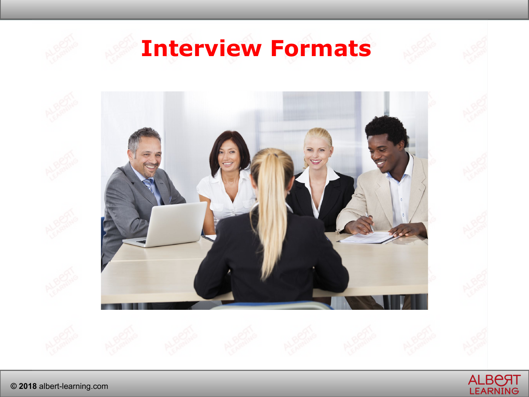

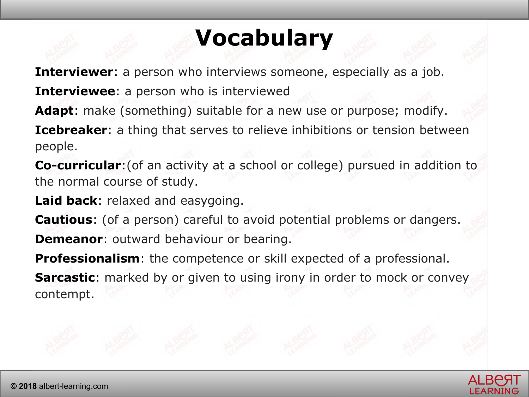## **Vocabulary**

**Interviewer**: a person who interviews someone, especially as a job. **Interviewee**: a person who is interviewed

**Adapt**: make (something) suitable for a new use or purpose; modify.

**Icebreaker:** a thing that serves to relieve inhibitions or tension between people.

**Co-curricular**:(of an activity at a school or college) pursued in addition to the normal course of study.

**Laid back**: relaxed and easygoing.

**Cautious**: (of a person) careful to avoid potential problems or dangers. **Demeanor:** outward behaviour or bearing.

**Professionalism**: the competence or skill expected of a professional.

**Sarcastic**: marked by or given to using irony in order to mock or convey contempt.